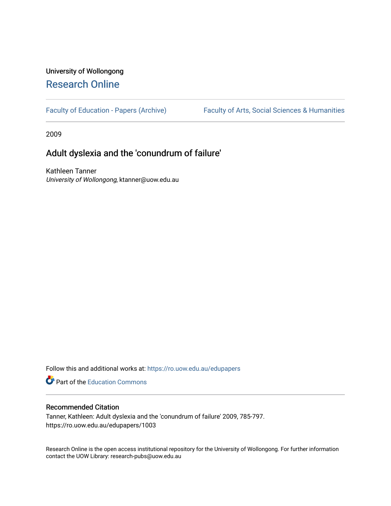# University of Wollongong [Research Online](https://ro.uow.edu.au/)

[Faculty of Education - Papers \(Archive\)](https://ro.uow.edu.au/edupapers) Faculty of Arts, Social Sciences & Humanities

2009

# Adult dyslexia and the 'conundrum of failure'

Kathleen Tanner University of Wollongong, ktanner@uow.edu.au

Follow this and additional works at: [https://ro.uow.edu.au/edupapers](https://ro.uow.edu.au/edupapers?utm_source=ro.uow.edu.au%2Fedupapers%2F1003&utm_medium=PDF&utm_campaign=PDFCoverPages) 

**C** Part of the [Education Commons](http://network.bepress.com/hgg/discipline/784?utm_source=ro.uow.edu.au%2Fedupapers%2F1003&utm_medium=PDF&utm_campaign=PDFCoverPages)

## Recommended Citation

Tanner, Kathleen: Adult dyslexia and the 'conundrum of failure' 2009, 785-797. https://ro.uow.edu.au/edupapers/1003

Research Online is the open access institutional repository for the University of Wollongong. For further information contact the UOW Library: research-pubs@uow.edu.au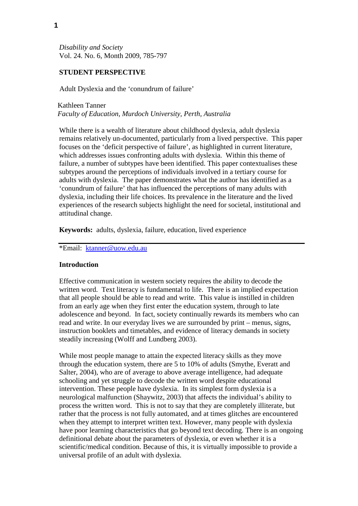*Disability and Society* Vol. 24. No. 6, Month 2009, 785-797

# **STUDENT PERSPECTIVE**

Adult Dyslexia and the 'conundrum of failure'

 Kathleen Tanner *Faculty of Education, Murdoch University, Perth, Australia* 

While there is a wealth of literature about childhood dyslexia, adult dyslexia remains relatively un-documented, particularly from a lived perspective. This paper focuses on the 'deficit perspective of failure', as highlighted in current literature, which addresses issues confronting adults with dyslexia. Within this theme of failure, a number of subtypes have been identified. This paper contextualises these subtypes around the perceptions of individuals involved in a tertiary course for adults with dyslexia. The paper demonstrates what the author has identified as a 'conundrum of failure' that has influenced the perceptions of many adults with dyslexia, including their life choices. Its prevalence in the literature and the lived experiences of the research subjects highlight the need for societal, institutional and attitudinal change.

**Keywords:** adults, dyslexia, failure, education, lived experience

\*Email: [ktanner@uow.edu.au](mailto:ktanner@uow.edu.au)

## **Introduction**

Effective communication in western society requires the ability to decode the written word. Text literacy is fundamental to life. There is an implied expectation that all people should be able to read and write. This value is instilled in children from an early age when they first enter the education system, through to late adolescence and beyond. In fact, society continually rewards its members who can read and write. In our everyday lives we are surrounded by print – menus, signs, instruction booklets and timetables, and evidence of literacy demands in society steadily increasing (Wolff and Lundberg 2003).

While most people manage to attain the expected literacy skills as they move through the education system, there are 5 to 10% of adults (Smythe, Everatt and Salter, 2004), who are of average to above average intelligence, had adequate schooling and yet struggle to decode the written word despite educational intervention. These people have dyslexia. In its simplest form dyslexia is a neurological malfunction (Shaywitz, 2003) that affects the individual's ability to process the written word. This is not to say that they are completely illiterate, but rather that the process is not fully automated, and at times glitches are encountered when they attempt to interpret written text. However, many people with dyslexia have poor learning characteristics that go beyond text decoding. There is an ongoing definitional debate about the parameters of dyslexia, or even whether it is a scientific/medical condition. Because of this, it is virtually impossible to provide a universal profile of an adult with dyslexia.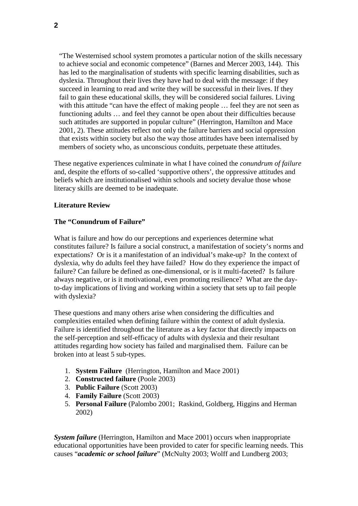"The Westernised school system promotes a particular notion of the skills necessary to achieve social and economic competence" (Barnes and Mercer 2003, 144). This has led to the marginalisation of students with specific learning disabilities, such as dyslexia. Throughout their lives they have had to deal with the message: if they succeed in learning to read and write they will be successful in their lives. If they fail to gain these educational skills, they will be considered social failures. Living with this attitude "can have the effect of making people ... feel they are not seen as functioning adults … and feel they cannot be open about their difficulties because such attitudes are supported in popular culture" (Herrington, Hamilton and Mace 2001, 2). These attitudes reflect not only the failure barriers and social oppression that exists within society but also the way those attitudes have been internalised by members of society who, as unconscious conduits, perpetuate these attitudes.

These negative experiences culminate in what I have coined the *conundrum of failure*  and, despite the efforts of so-called 'supportive others', the oppressive attitudes and beliefs which are institutionalised within schools and society devalue those whose literacy skills are deemed to be inadequate.

## **Literature Review**

## **The "Conundrum of Failure"**

What is failure and how do our perceptions and experiences determine what constitutes failure? Is failure a social construct, a manifestation of society's norms and expectations? Or is it a manifestation of an individual's make-up? In the context of dyslexia, why do adults feel they have failed? How do they experience the impact of failure? Can failure be defined as one-dimensional, or is it multi-faceted? Is failure always negative, or is it motivational, even promoting resilience? What are the dayto-day implications of living and working within a society that sets up to fail people with dyslexia?

These questions and many others arise when considering the difficulties and complexities entailed when defining failure within the context of adult dyslexia. Failure is identified throughout the literature as a key factor that directly impacts on the self-perception and self-efficacy of adults with dyslexia and their resultant attitudes regarding how society has failed and marginalised them. Failure can be broken into at least 5 sub-types.

- 1. **System Failure** (Herrington, Hamilton and Mace 2001)
- 2. **Constructed failure** (Poole 2003)
- 3. **Public Failure** (Scott 2003)
- 4. **Family Failure** (Scott 2003)
- 5. **Personal Failure** (Palombo 2001; Raskind, Goldberg, Higgins and Herman 2002)

*System failure* (Herrington, Hamilton and Mace 2001) occurs when inappropriate educational opportunities have been provided to cater for specific learning needs. This causes "*academic or school failure*" (McNulty 2003; Wolff and Lundberg 2003;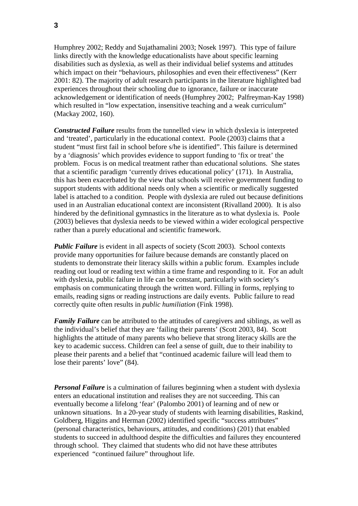Humphrey 2002; Reddy and Sujathamalini 2003; Nosek 1997). This type of failure links directly with the knowledge educationalists have about specific learning disabilities such as dyslexia, as well as their individual belief systems and attitudes which impact on their "behaviours, philosophies and even their effectiveness" (Kerr 2001: 82). The majority of adult research participants in the literature highlighted bad experiences throughout their schooling due to ignorance, failure or inaccurate acknowledgement or identification of needs (Humphrey 2002; Palfreyman-Kay 1998) which resulted in "low expectation, insensitive teaching and a weak curriculum" (Mackay 2002, 160).

*Constructed Failure* results from the tunnelled view in which dyslexia is interpreted and 'treated', particularly in the educational context. Poole (2003) claims that a student "must first fail in school before s/he is identified". This failure is determined by a 'diagnosis' which provides evidence to support funding to 'fix or treat' the problem. Focus is on medical treatment rather than educational solutions. She states that a scientific paradigm 'currently drives educational policy' (171). In Australia, this has been exacerbated by the view that schools will receive government funding to support students with additional needs only when a scientific or medically suggested label is attached to a condition. People with dyslexia are ruled out because definitions used in an Australian educational context are inconsistent (Rivalland 2000). It is also hindered by the definitional gymnastics in the literature as to what dyslexia is. Poole (2003) believes that dyslexia needs to be viewed within a wider ecological perspective rather than a purely educational and scientific framework.

*Public Failure* is evident in all aspects of society (Scott 2003). School contexts provide many opportunities for failure because demands are constantly placed on students to demonstrate their literacy skills within a public forum. Examples include reading out loud or reading text within a time frame and responding to it. For an adult with dyslexia, public failure in life can be constant, particularly with society's emphasis on communicating through the written word. Filling in forms, replying to emails, reading signs or reading instructions are daily events. Public failure to read correctly quite often results in *public humiliation* (Fink 1998).

*Family Failure* can be attributed to the attitudes of caregivers and siblings, as well as the individual's belief that they are 'failing their parents' (Scott 2003, 84). Scott highlights the attitude of many parents who believe that strong literacy skills are the key to academic success. Children can feel a sense of guilt, due to their inability to please their parents and a belief that "continued academic failure will lead them to lose their parents' love" (84).

*Personal Failure* is a culmination of failures beginning when a student with dyslexia enters an educational institution and realises they are not succeeding. This can eventually become a lifelong 'fear' (Palombo 2001) of learning and of new or unknown situations. In a 20-year study of students with learning disabilities, Raskind, Goldberg, Higgins and Herman (2002) identified specific "success attributes" (personal characteristics, behaviours, attitudes, and conditions) (201) that enabled students to succeed in adulthood despite the difficulties and failures they encountered through school. They claimed that students who did not have these attributes experienced "continued failure" throughout life.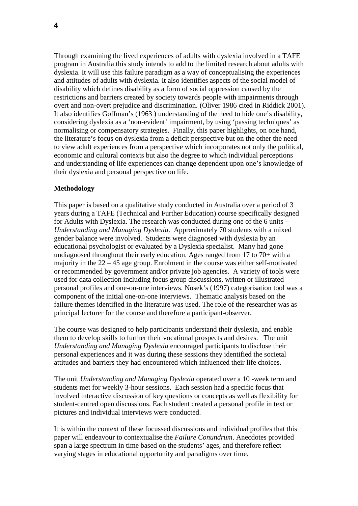Through examining the lived experiences of adults with dyslexia involved in a TAFE program in Australia this study intends to add to the limited research about adults with dyslexia. It will use this failure paradigm as a way of conceptualising the experiences and attitudes of adults with dyslexia. It also identifies aspects of the social model of disability which defines disability as a form of social oppression caused by the restrictions and barriers created by society towards people with impairments through overt and non-overt prejudice and discrimination. (Oliver 1986 cited in Riddick 2001). It also identifies Goffman's (1963 ) understanding of the need to hide one's disability, considering dyslexia as a 'non-evident' impairment, by using 'passing techniques' as normalising or compensatory strategies. Finally, this paper highlights, on one hand, the literature's focus on dyslexia from a deficit perspective but on the other the need to view adult experiences from a perspective which incorporates not only the political, economic and cultural contexts but also the degree to which individual perceptions and understanding of life experiences can change dependent upon one's knowledge of their dyslexia and personal perspective on life.

# **Methodology**

This paper is based on a qualitative study conducted in Australia over a period of 3 years during a TAFE (Technical and Further Education) course specifically designed for Adults with Dyslexia. The research was conducted during one of the 6 units – *Understanding and Managing Dyslexia*. Approximately 70 students with a mixed gender balance were involved. Students were diagnosed with dyslexia by an educational psychologist or evaluated by a Dyslexia specialist. Many had gone undiagnosed throughout their early education. Ages ranged from 17 to 70+ with a majority in the 22 – 45 age group. Enrolment in the course was either self-motivated or recommended by government and/or private job agencies. A variety of tools were used for data collection including focus group discussions, written or illustrated personal profiles and one-on-one interviews. Nosek's (1997) categorisation tool was a component of the initial one-on-one interviews. Thematic analysis based on the failure themes identified in the literature was used. The role of the researcher was as principal lecturer for the course and therefore a participant-observer.

The course was designed to help participants understand their dyslexia, and enable them to develop skills to further their vocational prospects and desires. The unit *Understanding and Managing Dyslexia* encouraged participants to disclose their personal experiences and it was during these sessions they identified the societal attitudes and barriers they had encountered which influenced their life choices.

The unit *Understanding and Managing Dyslexia* operated over a 10 -week term and students met for weekly 3-hour sessions. Each session had a specific focus that involved interactive discussion of key questions or concepts as well as flexibility for student-centred open discussions. Each student created a personal profile in text or pictures and individual interviews were conducted.

It is within the context of these focussed discussions and individual profiles that this paper will endeavour to contextualise the *Failure Conundrum*. Anecdotes provided span a large spectrum in time based on the students' ages, and therefore reflect varying stages in educational opportunity and paradigms over time.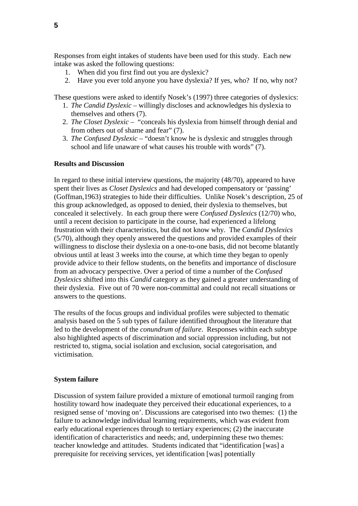Responses from eight intakes of students have been used for this study. Each new intake was asked the following questions:

- 1. When did you first find out you are dyslexic?
- 2. Have you ever told anyone you have dyslexia? If yes, who? If no, why not?

These questions were asked to identify Nosek's (1997) three categories of dyslexics:

- 1. *The Candid Dyslexic* willingly discloses and acknowledges his dyslexia to themselves and others (7).
- 2. *The Closet Dyslexic* "conceals his dyslexia from himself through denial and from others out of shame and fear" (7).
- 3. *The Confused Dyslexic* "doesn't know he is dyslexic and struggles through school and life unaware of what causes his trouble with words" (7).

## **Results and Discussion**

In regard to these initial interview questions, the majority (48/70), appeared to have spent their lives as *Closet Dyslexics* and had developed compensatory or 'passing' (Goffman,1963) strategies to hide their difficulties. Unlike Nosek's description, 25 of this group acknowledged, as opposed to denied, their dyslexia to themselves, but concealed it selectively. In each group there were *Confused Dyslexics* (12/70) who, until a recent decision to participate in the course, had experienced a lifelong frustration with their characteristics, but did not know why. The *Candid Dyslexics* (5/70), although they openly answered the questions and provided examples of their willingness to disclose their dyslexia on a one-to-one basis, did not become blatantly obvious until at least 3 weeks into the course, at which time they began to openly provide advice to their fellow students, on the benefits and importance of disclosure from an advocacy perspective. Over a period of time a number of the *Confused Dyslexics* shifted into this *Candid* category as they gained a greater understanding of their dyslexia. Five out of 70 were non-committal and could not recall situations or answers to the questions.

The results of the focus groups and individual profiles were subjected to thematic analysis based on the 5 sub types of failure identified throughout the literature that led to the development of the *conundrum of failure*. Responses within each subtype also highlighted aspects of discrimination and social oppression including, but not restricted to, stigma, social isolation and exclusion, social categorisation, and victimisation.

#### **System failure**

Discussion of system failure provided a mixture of emotional turmoil ranging from hostility toward how inadequate they perceived their educational experiences, to a resigned sense of 'moving on'. Discussions are categorised into two themes: (1) the failure to acknowledge individual learning requirements, which was evident from early educational experiences through to tertiary experiences; (2) the inaccurate identification of characteristics and needs; and, underpinning these two themes: teacher knowledge and attitudes. Students indicated that "identification [was] a prerequisite for receiving services, yet identification [was] potentially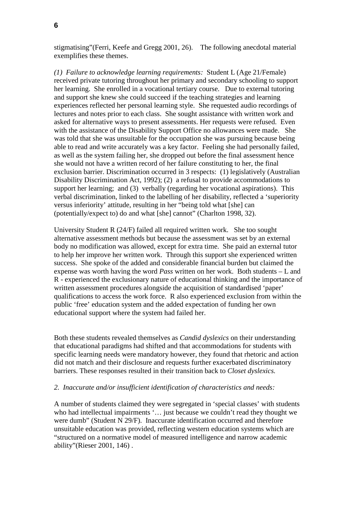stigmatising"(Ferri, Keefe and Gregg 2001, 26). The following anecdotal material exemplifies these themes.

*(1) Failure to acknowledge learning requirements:* Student L (Age 21/Female) received private tutoring throughout her primary and secondary schooling to support her learning. She enrolled in a vocational tertiary course. Due to external tutoring and support she knew she could succeed if the teaching strategies and learning experiences reflected her personal learning style. She requested audio recordings of lectures and notes prior to each class. She sought assistance with written work and asked for alternative ways to present assessments. Her requests were refused. Even with the assistance of the Disability Support Office no allowances were made. She was told that she was unsuitable for the occupation she was pursuing because being able to read and write accurately was a key factor. Feeling she had personally failed, as well as the system failing her, she dropped out before the final assessment hence she would not have a written record of her failure constituting to her, the final exclusion barrier. Discrimination occurred in 3 respects: (1) legislatively (Australian Disability Discrimination Act, 1992); (2) a refusal to provide accommodations to support her learning; and (3) verbally (regarding her vocational aspirations). This verbal discrimination, linked to the labelling of her disability, reflected a 'superiority versus inferiority' attitude, resulting in her "being told what [she] can (potentially/expect to) do and what [she] cannot" (Charlton 1998, 32).

University Student R (24/F) failed all required written work. She too sought alternative assessment methods but because the assessment was set by an external body no modification was allowed, except for extra time. She paid an external tutor to help her improve her written work. Through this support she experienced written success. She spoke of the added and considerable financial burden but claimed the expense was worth having the word *Pass* written on her work. Both students – L and R - experienced the exclusionary nature of educational thinking and the importance of written assessment procedures alongside the acquisition of standardised 'paper' qualifications to access the work force. R also experienced exclusion from within the public 'free' education system and the added expectation of funding her own educational support where the system had failed her.

Both these students revealed themselves as *Candid dyslexics* on their understanding that educational paradigms had shifted and that accommodations for students with specific learning needs were mandatory however, they found that rhetoric and action did not match and their disclosure and requests further exacerbated discriminatory barriers. These responses resulted in their transition back to *Closet dyslexics.*

## *2. Inaccurate and/or insufficient identification of characteristics and needs:*

A number of students claimed they were segregated in 'special classes' with students who had intellectual impairments '… just because we couldn't read they thought we were dumb" (Student N 29/F). Inaccurate identification occurred and therefore unsuitable education was provided, reflecting western education systems which are "structured on a normative model of measured intelligence and narrow academic ability"(Rieser 2001, 146) .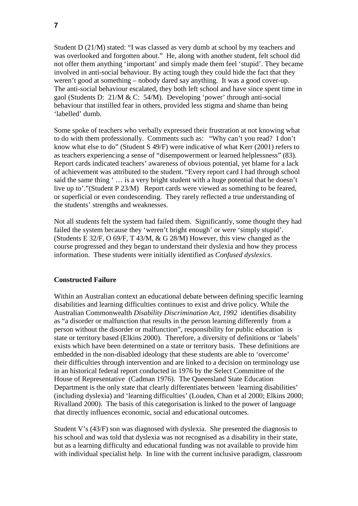Student D (21/M) stated: "I was classed as very dumb at school by my teachers and was overlooked and forgotten about." He, along with another student, felt school did not offer them anything 'important' and simply made them feel 'stupid'. They became involved in anti-social behaviour. By acting tough they could hide the fact that they weren't good at something – nobody dared say anything. It was a good cover-up. The anti-social behaviour escalated, they both left school and have since spent time in gaol (Students D: 21/M & C: 54/M). Developing 'power' through anti-social behaviour that instilled fear in others, provided less stigma and shame than being 'labelled' dumb.

Some spoke of teachers who verbally expressed their frustration at not knowing what to do with them professionally. Comments such as: "Why can't you read? I don't know what else to do" (Student S 49/F) were indicative of what Kerr (2001) refers to as teachers experiencing a sense of "disempowerment or learned helplessness" (83). Report cards indicated teachers' awareness of obvious potential, yet blame for a lack of achievement was attributed to the student. "Every report card I had through school said the same thing ' … is a very bright student with a huge potential that he doesn't live up to'."(Student P 23/M) Report cards were viewed as something to be feared, or superficial or even condescending. They rarely reflected a true understanding of the students' strengths and weaknesses.

Not all students felt the system had failed them. Significantly, some thought they had failed the system because they 'weren't bright enough' or were 'simply stupid'. (Students E 32/F, O 69/F, T 43/M, & G 28/M) However, this view changed as the course progressed and they began to understand their dyslexia and how they process information. These students were initially identified as *Confused dyslexics*.

## **Constructed Failure**

Within an Australian context an educational debate between defining specific learning disabilities and learning difficulties continues to exist and drive policy. While the Australian Commonwealth *Disability Discrimination Act, 1992* identifies disability as "a disorder or malfunction that results in the person learning differently from a person without the disorder or malfunction", responsibility for public education is state or territory based (Elkins 2000). Therefore, a diversity of definitions or 'labels' exists which have been determined on a state or territory basis. These definitions are embedded in the non-disabled ideology that these students are able to 'overcome' their difficulties through intervention and are linked to a decision on terminology use in an historical federal report conducted in 1976 by the Select Committee of the House of Representative (Cadman 1976). The Queensland State Education Department is the only state that clearly differentiates between 'learning disabilities' (including dyslexia) and 'learning difficulties' (Louden, Chan et al 2000; Elkins 2000; Rivalland 2000). The basis of this categorisation is linked to the power of language that directly influences economic, social and educational outcomes.

Student V's (43/F) son was diagnosed with dyslexia. She presented the diagnosis to his school and was told that dyslexia was not recognised as a disability in their state, but as a learning difficulty and educational funding was not available to provide him with individual specialist help. In line with the current inclusive paradigm, classroom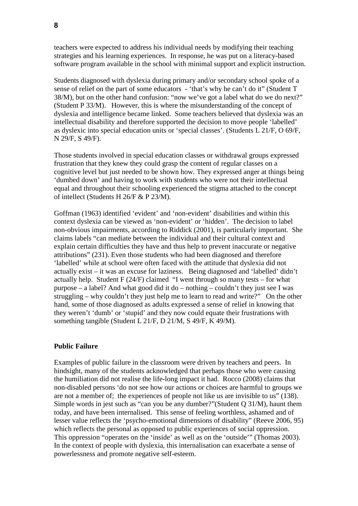teachers were expected to address his individual needs by modifying their teaching strategies and his learning experiences. In response, he was put on a literacy-based software program available in the school with minimal support and explicit instruction.

Students diagnosed with dyslexia during primary and/or secondary school spoke of a sense of relief on the part of some educators - 'that's why he can't do it" (Student T 38/M), but on the other hand confusion: "now we've got a label what do we do next?" (Student P 33/M). However, this is where the misunderstanding of the concept of dyslexia and intelligence became linked. Some teachers believed that dyslexia was an intellectual disability and therefore supported the decision to move people 'labelled' as dyslexic into special education units or 'special classes'. (Students L 21/F, O 69/F, N 29/F, S 49/F).

Those students involved in special education classes or withdrawal groups expressed frustration that they knew they could grasp the content of regular classes on a cognitive level but just needed to be shown how. They expressed anger at things being 'dumbed down' and having to work with students who were not their intellectual equal and throughout their schooling experienced the stigma attached to the concept of intellect (Students H 26/F & P 23/M).

Goffman (1963) identified 'evident' and 'non-evident' disabilities and within this context dyslexia can be viewed as 'non-evident' or 'hidden'. The decision to label non-obvious impairments, according to Riddick (2001), is particularly important. She claims labels "can mediate between the individual and their cultural context and explain certain difficulties they have and thus help to prevent inaccurate or negative attributions" (231). Even those students who had been diagnosed and therefore 'labelled' while at school were often faced with the attitude that dyslexia did not actually exist – it was an excuse for laziness. Being diagnosed and 'labelled' didn't actually help. Student  $F(24/F)$  claimed "I went through so many tests – for what purpose – a label? And what good did it do – nothing – couldn't they just see I was struggling – why couldn't they just help me to learn to read and write?" On the other hand, some of those diagnosed as adults expressed a sense of relief in knowing that they weren't 'dumb' or 'stupid' and they now could equate their frustrations with something tangible (Student L 21/F, D 21/M, S 49/F, K 49/M).

## **Public Failure**

Examples of public failure in the classroom were driven by teachers and peers. In hindsight, many of the students acknowledged that perhaps those who were causing the humiliation did not realise the life-long impact it had. Rocco (2008) claims that non-disabled persons 'do not see how our actions or choices are harmful to groups we are not a member of; the experiences of people not like us are invisible to us" (138). Simple words in jest such as "can you be any dumber?"(Student Q 31/M), haunt them today, and have been internalised. This sense of feeling worthless, ashamed and of lesser value reflects the 'psycho-emotional dimensions of disability" (Reeve 2006, 95) which reflects the personal as opposed to public experiences of social oppression. This oppression "operates on the 'inside' as well as on the 'outside'" (Thomas 2003). In the context of people with dyslexia, this internalisation can exacerbate a sense of powerlessness and promote negative self-esteem.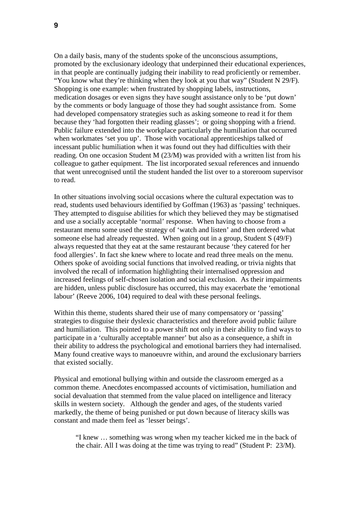On a daily basis, many of the students spoke of the unconscious assumptions, promoted by the exclusionary ideology that underpinned their educational experiences, in that people are continually judging their inability to read proficiently or remember. "You know what they're thinking when they look at you that way" (Student N 29/F). Shopping is one example: when frustrated by shopping labels, instructions, medication dosages or even signs they have sought assistance only to be 'put down' by the comments or body language of those they had sought assistance from. Some had developed compensatory strategies such as asking someone to read it for them because they 'had forgotten their reading glasses'; or going shopping with a friend. Public failure extended into the workplace particularly the humiliation that occurred when workmates 'set you up'. Those with vocational apprenticeships talked of incessant public humiliation when it was found out they had difficulties with their reading. On one occasion Student M (23/M) was provided with a written list from his colleague to gather equipment. The list incorporated sexual references and innuendo that went unrecognised until the student handed the list over to a storeroom supervisor to read.

In other situations involving social occasions where the cultural expectation was to read, students used behaviours identified by Goffman (1963) as 'passing' techniques. They attempted to disguise abilities for which they believed they may be stigmatised and use a socially acceptable 'normal' response. When having to choose from a restaurant menu some used the strategy of 'watch and listen' and then ordered what someone else had already requested. When going out in a group, Student S (49/F) always requested that they eat at the same restaurant because 'they catered for her food allergies'. In fact she knew where to locate and read three meals on the menu. Others spoke of avoiding social functions that involved reading, or trivia nights that involved the recall of information highlighting their internalised oppression and increased feelings of self-chosen isolation and social exclusion. As their impairments are hidden, unless public disclosure has occurred, this may exacerbate the 'emotional labour' (Reeve 2006, 104) required to deal with these personal feelings.

Within this theme, students shared their use of many compensatory or 'passing' strategies to disguise their dyslexic characteristics and therefore avoid public failure and humiliation. This pointed to a power shift not only in their ability to find ways to participate in a 'culturally acceptable manner' but also as a consequence, a shift in their ability to address the psychological and emotional barriers they had internalised. Many found creative ways to manoeuvre within, and around the exclusionary barriers that existed socially.

Physical and emotional bullying within and outside the classroom emerged as a common theme. Anecdotes encompassed accounts of victimisation, humiliation and social devaluation that stemmed from the value placed on intelligence and literacy skills in western society. Although the gender and ages, of the students varied markedly, the theme of being punished or put down because of literacy skills was constant and made them feel as 'lesser beings'.

"I knew … something was wrong when my teacher kicked me in the back of the chair. All I was doing at the time was trying to read" (Student P: 23/M).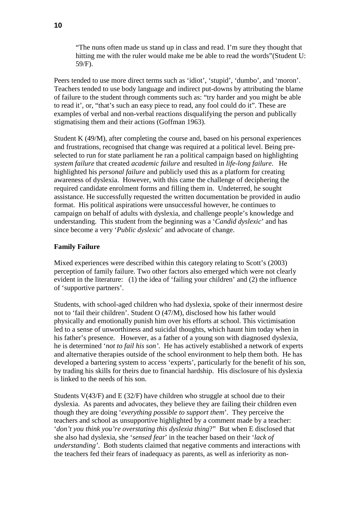"The nuns often made us stand up in class and read. I'm sure they thought that hitting me with the ruler would make me be able to read the words"(Student U: 59/F).

Peers tended to use more direct terms such as 'idiot', 'stupid', 'dumbo', and 'moron'. Teachers tended to use body language and indirect put-downs by attributing the blame of failure to the student through comments such as: "try harder and you might be able to read it', or, "that's such an easy piece to read, any fool could do it". These are examples of verbal and non-verbal reactions disqualifying the person and publically stigmatising them and their actions (Goffman 1963).

Student K (49/M), after completing the course and, based on his personal experiences and frustrations, recognised that change was required at a political level. Being preselected to run for state parliament he ran a political campaign based on highlighting *system failure* that created *academic failure* and resulted in *life-long failure*. He highlighted his *personal failure* and publicly used this as a platform for creating awareness of dyslexia. However, with this came the challenge of deciphering the required candidate enrolment forms and filling them in. Undeterred, he sought assistance. He successfully requested the written documentation be provided in audio format. His political aspirations were unsuccessful however, he continues to campaign on behalf of adults with dyslexia, and challenge people's knowledge and understanding. This student from the beginning was a '*Candid dyslexic*' and has since become a very '*Public dyslexic*' and advocate of change.

## **Family Failure**

Mixed experiences were described within this category relating to Scott's (2003) perception of family failure. Two other factors also emerged which were not clearly evident in the literature: (1) the idea of 'failing your children' and (2) the influence of 'supportive partners'.

Students, with school-aged children who had dyslexia, spoke of their innermost desire not to 'fail their children'. Student O (47/M), disclosed how his father would physically and emotionally punish him over his efforts at school. This victimisation led to a sense of unworthiness and suicidal thoughts, which haunt him today when in his father's presence. However, as a father of a young son with diagnosed dyslexia, he is determined '*not to fail his son'*. He has actively established a network of experts and alternative therapies outside of the school environment to help them both. He has developed a bartering system to access 'experts', particularly for the benefit of his son, by trading his skills for theirs due to financial hardship. His disclosure of his dyslexia is linked to the needs of his son.

Students  $V(43/F)$  and E (32/F) have children who struggle at school due to their dyslexia. As parents and advocates, they believe they are failing their children even though they are doing '*everything possible to support them*'. They perceive the teachers and school as unsupportive highlighted by a comment made by a teacher: '*don't you think you're overstating this dyslexia thing*?" But when E disclosed that she also had dyslexia, she '*sensed fea*r' in the teacher based on their '*lack of understanding'*. Both students claimed that negative comments and interactions with the teachers fed their fears of inadequacy as parents, as well as inferiority as non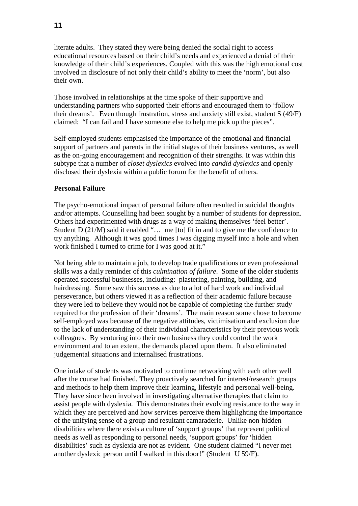literate adults. They stated they were being denied the social right to access educational resources based on their child's needs and experienced a denial of their knowledge of their child's experiences. Coupled with this was the high emotional cost involved in disclosure of not only their child's ability to meet the 'norm', but also their own.

Those involved in relationships at the time spoke of their supportive and understanding partners who supported their efforts and encouraged them to 'follow their dreams'. Even though frustration, stress and anxiety still exist, student S (49/F) claimed: "I can fail and I have someone else to help me pick up the pieces".

Self-employed students emphasised the importance of the emotional and financial support of partners and parents in the initial stages of their business ventures, as well as the on-going encouragement and recognition of their strengths. It was within this subtype that a number of *closet dyslexics* evolved into *candid dyslexics* and openly disclosed their dyslexia within a public forum for the benefit of others.

# **Personal Failure**

The psycho-emotional impact of personal failure often resulted in suicidal thoughts and/or attempts. Counselling had been sought by a number of students for depression. Others had experimented with drugs as a way of making themselves 'feel better'. Student D  $(21/M)$  said it enabled "... me [to] fit in and to give me the confidence to try anything. Although it was good times I was digging myself into a hole and when work finished I turned to crime for I was good at it."

Not being able to maintain a job, to develop trade qualifications or even professional skills was a daily reminder of this *culmination of failure*. Some of the older students operated successful businesses, including: plastering, painting, building, and hairdressing. Some saw this success as due to a lot of hard work and individual perseverance, but others viewed it as a reflection of their academic failure because they were led to believe they would not be capable of completing the further study required for the profession of their 'dreams'. The main reason some chose to become self-employed was because of the negative attitudes, victimisation and exclusion due to the lack of understanding of their individual characteristics by their previous work colleagues. By venturing into their own business they could control the work environment and to an extent, the demands placed upon them. It also eliminated judgemental situations and internalised frustrations.

One intake of students was motivated to continue networking with each other well after the course had finished. They proactively searched for interest/research groups and methods to help them improve their learning, lifestyle and personal well-being. They have since been involved in investigating alternative therapies that claim to assist people with dyslexia. This demonstrates their evolving resistance to the way in which they are perceived and how services perceive them highlighting the importance of the unifying sense of a group and resultant camaraderie. Unlike non-hidden disabilities where there exists a culture of 'support groups' that represent political needs as well as responding to personal needs, 'support groups' for 'hidden disabilities' such as dyslexia are not as evident. One student claimed "I never met another dyslexic person until I walked in this door!" (Student U 59/F).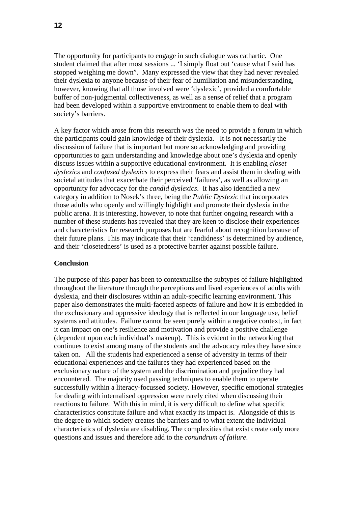The opportunity for participants to engage in such dialogue was cathartic. One student claimed that after most sessions ... 'I simply float out 'cause what I said has stopped weighing me down". Many expressed the view that they had never revealed their dyslexia to anyone because of their fear of humiliation and misunderstanding, however, knowing that all those involved were 'dyslexic', provided a comfortable buffer of non-judgmental collectiveness, as well as a sense of relief that a program had been developed within a supportive environment to enable them to deal with society's barriers.

A key factor which arose from this research was the need to provide a forum in which the participants could gain knowledge of their dyslexia. It is not necessarily the discussion of failure that is important but more so acknowledging and providing opportunities to gain understanding and knowledge about one's dyslexia and openly discuss issues within a supportive educational environment. It is enabling *closet dyslexics* and *confused dyslexics* to express their fears and assist them in dealing with societal attitudes that exacerbate their perceived 'failures', as well as allowing an opportunity for advocacy for the *candid dyslexics*. It has also identified a new category in addition to Nosek's three, being the *Public Dyslexic* that incorporates those adults who openly and willingly highlight and promote their dyslexia in the public arena. It is interesting, however, to note that further ongoing research with a number of these students has revealed that they are keen to disclose their experiences and characteristics for research purposes but are fearful about recognition because of their future plans. This may indicate that their 'candidness' is determined by audience, and their 'closetedness' is used as a protective barrier against possible failure.

## **Conclusion**

The purpose of this paper has been to contextualise the subtypes of failure highlighted throughout the literature through the perceptions and lived experiences of adults with dyslexia, and their disclosures within an adult-specific learning environment. This paper also demonstrates the multi-faceted aspects of failure and how it is embedded in the exclusionary and oppressive ideology that is reflected in our language use, belief systems and attitudes. Failure cannot be seen purely within a negative context, in fact it can impact on one's resilience and motivation and provide a positive challenge (dependent upon each individual's makeup). This is evident in the networking that continues to exist among many of the students and the advocacy roles they have since taken on. All the students had experienced a sense of adversity in terms of their educational experiences and the failures they had experienced based on the exclusionary nature of the system and the discrimination and prejudice they had encountered. The majority used passing techniques to enable them to operate successfully within a literacy-focussed society. However, specific emotional strategies for dealing with internalised oppression were rarely cited when discussing their reactions to failure. With this in mind, it is very difficult to define what specific characteristics constitute failure and what exactly its impact is. Alongside of this is the degree to which society creates the barriers and to what extent the individual characteristics of dyslexia are disabling. The complexities that exist create only more questions and issues and therefore add to the *conundrum of failure*.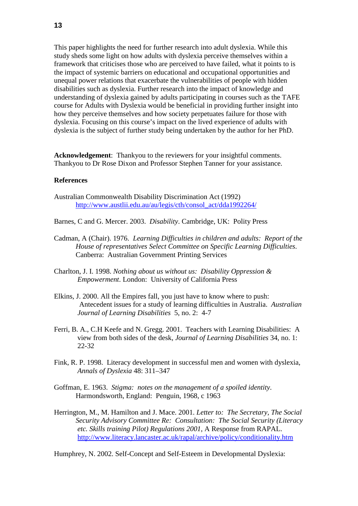This paper highlights the need for further research into adult dyslexia. While this study sheds some light on how adults with dyslexia perceive themselves within a framework that criticises those who are perceived to have failed, what it points to is the impact of systemic barriers on educational and occupational opportunities and unequal power relations that exacerbate the vulnerabilities of people with hidden disabilities such as dyslexia. Further research into the impact of knowledge and understanding of dyslexia gained by adults participating in courses such as the TAFE course for Adults with Dyslexia would be beneficial in providing further insight into how they perceive themselves and how society perpetuates failure for those with dyslexia. Focusing on this course's impact on the lived experience of adults with dyslexia is the subject of further study being undertaken by the author for her PhD.

**Acknowledgement**: Thankyou to the reviewers for your insightful comments. Thankyou to Dr Rose Dixon and Professor Stephen Tanner for your assistance.

#### **References**

- Australian Commonwealth Disability Discrimination Act (1992) [http://www.austlii.edu.au/au/legis/cth/consol\\_act/dda1992264/](http://www.austlii.edu.au/au/legis/cth/consol_act/dda1992264/)
- Barnes, C and G. Mercer. 2003. *Disability*. Cambridge, UK: Polity Press
- Cadman, A (Chair). 1976. *Learning Difficulties in children and adults: Report of the House of representatives Select Committee on Specific Learning Difficulties*. Canberra: Australian Government Printing Services
- Charlton, J. I. 1998. *Nothing about us without us: Disability Oppression & Empowerment*. London: University of California Press
- Elkins, J. 2000. All the Empires fall, you just have to know where to push: Antecedent issues for a study of learning difficulties in Australia. *Australian Journal of Learning Disabilities* 5, no. 2: 4-7
- Ferri, B. A., C.H Keefe and N. Gregg. 2001. Teachers with Learning Disabilities: A view from both sides of the desk, *Journal of Learning Disabilities* 34, no. 1: 22-32
- Fink, R. P. 1998. Literacy development in successful men and women with dyslexia, *Annals of Dyslexia* 48: 311–347
- Goffman, E. 1963. *Stigma: notes on the management of a spoiled identity*. Harmondsworth, England: Penguin, 1968, c 1963
- Herrington, M., M. Hamilton and J. Mace. 2001. *Letter to: The Secretary, The Social Security Advisory Committee Re: Consultation: The Social Security (Literacy etc. Skills training Pilot) Regulations 2001*, A Response from RAPAL. <http://www.literacy.lancaster.ac.uk/rapal/archive/policy/conditionality.htm>

Humphrey, N. 2002. Self-Concept and Self-Esteem in Developmental Dyslexia: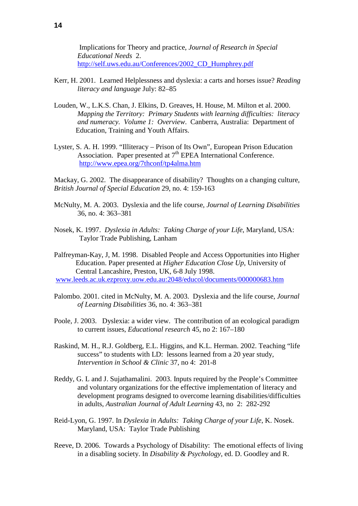Implications for Theory and practice, *Journal of Research in Special Educational Needs* 2. [http://self.uws.edu.au/Conferences/2002\\_CD\\_Humphrey.pdf](http://self.uws.edu.au/Conferences/2002_CD_Humphrey.pdf) 

- Kerr, H. 2001. Learned Helplessness and dyslexia: a carts and horses issue? *Reading literacy and language* July: 82–85
- Louden, W., L.K.S. Chan, J. Elkins, D. Greaves, H. House, M. Milton et al. 2000. *Mapping the Territory: Primary Students with learning difficulties: literacy and numeracy. Volume 1: Overview*. Canberra, Australia: Department of Education, Training and Youth Affairs.
- Lyster, S. A. H. 1999. "Illiteracy Prison of Its Own", European Prison Education Association. Paper presented at  $7<sup>th</sup>$  EPEA International Conference. <http://www.epea.org/7thconf/tp4alma.htm>

Mackay, G. 2002. The disappearance of disability? Thoughts on a changing culture, *British Journal of Special Education* 29, no. 4: 159-163

- McNulty, M. A. 2003. Dyslexia and the life course, *Journal of Learning Disabilities* 36, no. 4: 363–381
- Nosek, K. 1997. *Dyslexia in Adults: Taking Charge of your Life*, Maryland, USA: Taylor Trade Publishing, Lanham
- Palfreyman-Kay, J, M. 1998. Disabled People and Access Opportunities into Higher Education. Paper presented at *Higher Education Close Up*, University of Central Lancashire, Preston, UK, 6-8 July 1998. [www.leeds.ac.uk.ezproxy.uow.edu.au:2048/educol/documents/000000683.htm](http://www.leeds.ac.uk.ezproxy.uow.edu.au:2048/educol/documents/000000683.htm)
- Palombo. 2001. cited in McNulty, M. A. 2003. Dyslexia and the life course, *Journal of Learning Disabilities* 36, no. 4: 363–381
- Poole, J. 2003. Dyslexia: a wider view. The contribution of an ecological paradigm to current issues, *Educational research* 45, no 2: 167–180
- Raskind, M. H., R.J. Goldberg, E.L. Higgins, and K.L. Herman. 2002. Teaching "life success" to students with LD: lessons learned from a 20 year study, *Intervention in School & Clinic* 37, no 4: 201-8
- Reddy, G. L and J. Sujathamalini. 2003. Inputs required by the People's Committee and voluntary organizations for the effective implementation of literacy and development programs designed to overcome learning disabilities/difficulties in adults, *Australian Journal of Adult Learning* 43, no 2: 282-292
- Reid-Lyon, G. 1997. In *Dyslexia in Adults: Taking Charge of your Life*, K. Nosek. Maryland, USA: Taylor Trade Publishing
- Reeve, D. 2006. Towards a Psychology of Disability: The emotional effects of living in a disabling society. In *Disability & Psychology*, ed. D. Goodley and R.